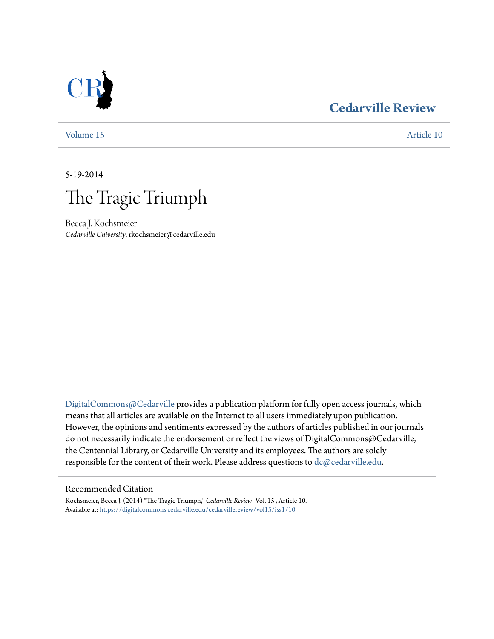### **[Cedarville Review](https://digitalcommons.cedarville.edu/cedarvillereview?utm_source=digitalcommons.cedarville.edu%2Fcedarvillereview%2Fvol15%2Fiss1%2F10&utm_medium=PDF&utm_campaign=PDFCoverPages)**



[Volume 15](https://digitalcommons.cedarville.edu/cedarvillereview/vol15?utm_source=digitalcommons.cedarville.edu%2Fcedarvillereview%2Fvol15%2Fiss1%2F10&utm_medium=PDF&utm_campaign=PDFCoverPages) [Article 10](https://digitalcommons.cedarville.edu/cedarvillereview/vol15/iss1/10?utm_source=digitalcommons.cedarville.edu%2Fcedarvillereview%2Fvol15%2Fiss1%2F10&utm_medium=PDF&utm_campaign=PDFCoverPages)

5-19-2014



Becca J. Kochsmeier *Cedarville University*, rkochsmeier@cedarville.edu

[DigitalCommons@Cedarville](http://digitalcommons.cedarville.edu) provides a publication platform for fully open access journals, which means that all articles are available on the Internet to all users immediately upon publication. However, the opinions and sentiments expressed by the authors of articles published in our journals do not necessarily indicate the endorsement or reflect the views of DigitalCommons@Cedarville, the Centennial Library, or Cedarville University and its employees. The authors are solely responsible for the content of their work. Please address questions to [dc@cedarville.edu](mailto:dc@cedarville.edu).

#### Recommended Citation

Kochsmeier, Becca J. (2014) "The Tragic Triumph," *Cedarville Review*: Vol. 15 , Article 10. Available at: [https://digitalcommons.cedarville.edu/cedarvillereview/vol15/iss1/10](https://digitalcommons.cedarville.edu/cedarvillereview/vol15/iss1/10?utm_source=digitalcommons.cedarville.edu%2Fcedarvillereview%2Fvol15%2Fiss1%2F10&utm_medium=PDF&utm_campaign=PDFCoverPages)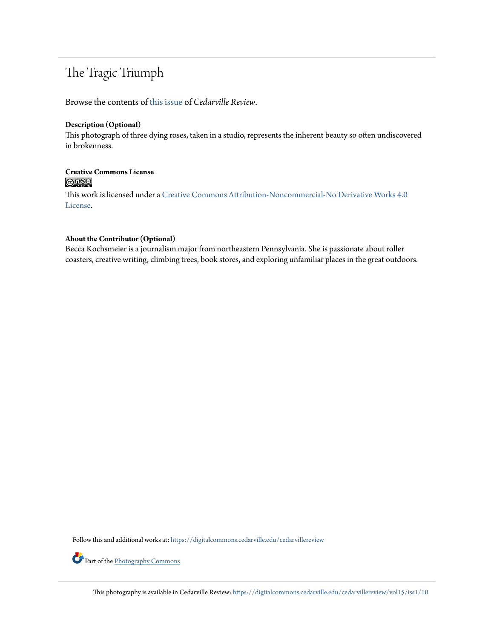## The Tragic Triumph

Browse the contents of [this issue](https://digitalcommons.cedarville.edu/cedarvillereview/vol15/iss1) of *Cedarville Review*.

#### **Description (Optional)**

This photograph of three dying roses, taken in a studio, represents the inherent beauty so often undiscovered in brokenness.

# Creative Commons License<br> **COOO**

This work is licensed under a [Creative Commons Attribution-Noncommercial-No Derivative Works 4.0](http://creativecommons.org/licenses/by-nc-nd/4.0/) [License.](http://creativecommons.org/licenses/by-nc-nd/4.0/)

#### **About the Contributor (Optional)**

Becca Kochsmeier is a journalism major from northeastern Pennsylvania. She is passionate about roller coasters, creative writing, climbing trees, book stores, and exploring unfamiliar places in the great outdoors.

Follow this and additional works at: [https://digitalcommons.cedarville.edu/cedarvillereview](https://digitalcommons.cedarville.edu/cedarvillereview?utm_source=digitalcommons.cedarville.edu%2Fcedarvillereview%2Fvol15%2Fiss1%2F10&utm_medium=PDF&utm_campaign=PDFCoverPages)

Part of the [Photography Commons](http://network.bepress.com/hgg/discipline/1142?utm_source=digitalcommons.cedarville.edu%2Fcedarvillereview%2Fvol15%2Fiss1%2F10&utm_medium=PDF&utm_campaign=PDFCoverPages)